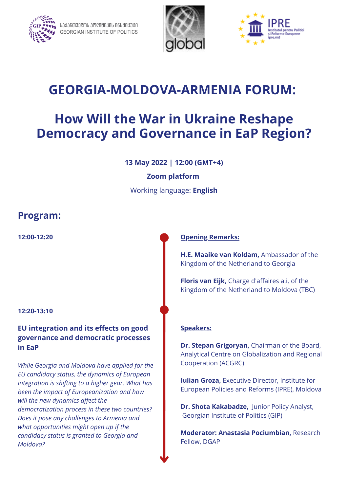

ᲡᲐᲥᲐႬᲗᲕᲔᲦᲝᲡ ᲞᲝᲦᲘᲪᲘᲙᲘᲡ ᲘᲜᲡᲪᲘᲪᲣᲪᲘ **GEORGIAN INSTITUTE OF POLITICS** 





# **GEORGIA-MOLDOVA-ARMENIA FORUM:**

# **How Will the War in Ukraine Reshape Democracy and Governance in EaP Region?**

**13 May 2022 | 12:00 (GMT+4)**

#### **Zoom platform**

Working language: **English**

## **Program:**

#### **12:20-13:10**

### **EU integration and its effects on good governance and democratic processes in EaP**

*While Georgia and Moldova have applied for the EU candidacy status, the dynamics of European integration is shifting to a higher gear. What has been the impact of Europeanization and how will the new dynamics affect the democratization process in these two countries? Does it pose any challenges to Armenia and what opportunities might open up if the candidacy status is granted to Georgia and Moldova?*

#### **12:00-12:20 Opening Remarks:**

**H.E. Maaike van Koldam,** Ambassador of the Kingdom of the Netherland to Georgia

**Floris van Eijk,** Charge d'affaires a.i. of the Kingdom of the Netherland to Moldova (TBC)

#### **Speakers:**

**Dr. Stepan Grigoryan,** Chairman of the Board, Analytical Centre on Globalization and Regional Cooperation (ACGRC)

**Iulian Groza,** Executive Director, Institute for European Policies and Reforms (IPRE), Moldova

**Dr. Shota Kakabadze,** Junior Policy Analyst, Georgian Institute of Politics (GIP)

**Moderator: Anastasia Pociumbian,** Research Fellow, DGAP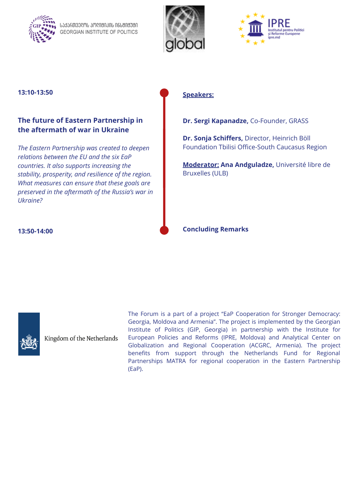

ᲡᲐᲥᲐႬᲗᲕᲔᲦᲝᲡ ᲞᲝᲦᲘᲢᲘᲙᲘᲡ ᲘᲜᲡᲢᲘᲢᲣᲢᲘ **GEORGIAN INSTITUTE OF POLITICS** 





### 13:10-13:50 **Speakers:**

#### **The future of Eastern Partnership in the aftermath of war in Ukraine**

*The Eastern Partnership was created to deepen relations between the EU and the six EaP countries. It also supports increasing the stability, prosperity, and resilience of the region. What measures can ensure that these goals are preserved in the aftermath of the Russia's war in Ukraine?*

**Dr. Sergi Kapanadze,** Co-Founder, GRASS

**Dr. Sonja Schiffers,** Director, Heinrich Böll Foundation Tbilisi Office-South Caucasus Region

**Moderator: Ana Andguladze,** Université libre de Bruxelles (ULB)

**13:50-14:00 Concluding Remarks**



Kingdom of the Netherlands

The Forum is a part of a project "EaP Cooperation for Stronger Democracy: Georgia, Moldova and Armenia". The project is implemented by the Georgian Institute of Politics (GIP, Georgia) in partnership with the Institute for European Policies and Reforms (IPRE, Moldova) and Analytical Center on Globalization and Regional Cooperation (ACGRC, Armenia). The project benefits from support through the Netherlands Fund for Regional Partnerships MATRA for regional cooperation in the Eastern Partnership (EaP).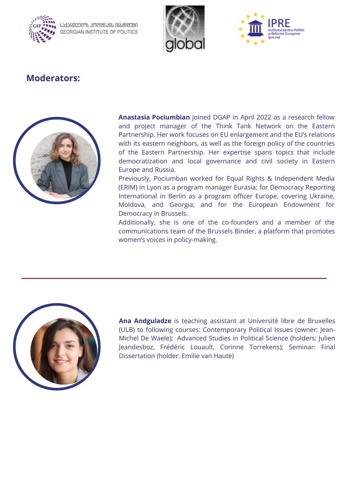

ᲡᲐᲥᲐႬᲗᲕᲔᲦᲝᲡ ᲞᲝᲦᲘᲢᲘᲙᲘᲡ ᲘᲜᲡᲢᲘᲢᲣᲢᲘ **GEORGIAN INSTITUTE OF POLITICS** 





# **Moderators:**



**Anastasia Pociumbian** joined DGAP in April 2022 as a research fellow and project manager of the Think Tank Network on the Eastern Partnership. Her work focuses on EU enlargement and the EU's relations with its eastern neighbors, as well as the foreign policy of the countries of the Eastern Partnership. Her expertise spans topics that include democratization and local governance and civil society in Eastern Europe and Russia.

Previously, Pociumban worked for Equal Rights & Independent Media (ERIM) in Lyon as a program manager Eurasia; for Democracy Reporting International in Berlin as a program officer Europe, covering Ukraine, Moldova, and Georgia; and for the European Endowment for Democracy in Brussels.

Additionally, she is one of the co-founders and a member of the communications team of the Brussels Binder, a platform that promotes women's voices in policy-making.



**Ana Andguladze** is teaching assistant at Université libre de Bruxelles (ULB) to following courses: Contemporary Political Issues (owner: Jean-Michel De Waele); Advanced Studies in Political Science (holders: Julien Jeandesboz, Frédéric Louault, Corinne Torrekens); Seminar: Final Dissertation (holder: Emilie van Haute)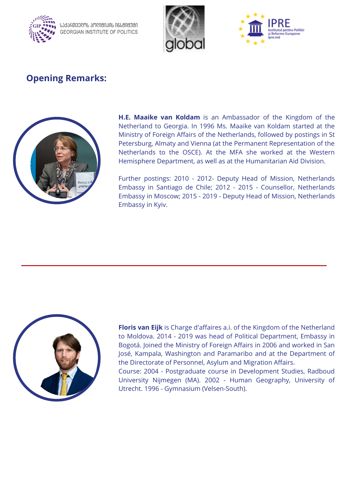

ᲡᲐᲥᲐႬᲗᲕᲔᲦᲝᲡ ᲞᲝᲦᲘᲪᲘᲙᲘᲡ ᲘᲜᲡᲪᲘᲪᲣᲪᲘ **GEORGIAN INSTITUTE OF POLITICS** 





# **Opening Remarks:**



**H.E. Maaike van Koldam** is an Ambassador of the Kingdom of the Netherland to Georgia. In 1996 Ms. Maaike van Koldam started at the Ministry of Foreign Affairs of the Netherlands, followed by postings in St Petersburg, Almaty and Vienna (at the Permanent Representation of the Netherlands to the OSCE). At the MFA she worked at the Western Hemisphere Department, as well as at the Humanitarian Aid Division.

Further postings: 2010 - 2012- Deputy Head of Mission, Netherlands Embassy in Santiago de Chile; 2012 - 2015 - Counsellor, Netherlands Embassy in Moscow; 2015 - 2019 - Deputy Head of Mission, Netherlands Embassy in Kyiv.



**Floris van Eijk** is Charge d'affaires a.i. of the Kingdom of the Netherland to Moldova. 2014 - 2019 was head of Political Department, Embassy in Bogotá. Joined the Ministry of Foreign Affairs in 2006 and worked in San José, Kampala, Washington and Paramaribo and at the Department of the Directorate of Personnel, Asylum and Migration Affairs.

Course: 2004 - Postgraduate course in Development Studies, Radboud University Nijmegen (MA). 2002 - Human Geography, University of Utrecht. 1996 - Gymnasium (Velsen-South).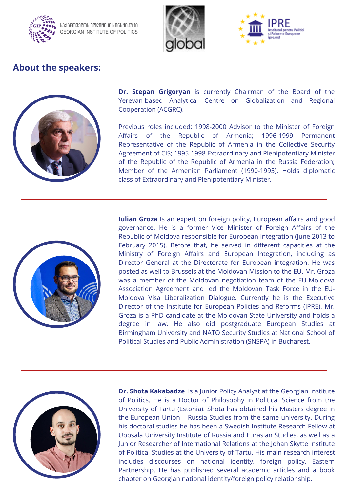

ᲡᲐᲥᲐႬᲗᲕᲔᲦᲝᲡ ᲞᲝᲦᲘᲪᲘᲙᲘᲡ ᲘᲜᲡᲪᲘᲪᲣᲪᲘ **GEORGIAN INSTITUTE OF POLITICS** 





## **About the speakers:**



**Dr. Stepan Grigoryan** is currently Chairman of the Board of the Yerevan-based Analytical Centre on Globalization and Regional Cooperation (ACGRC).

Previous roles included: 1998-2000 Advisor to the Minister of Foreign Affairs of the Republic of Armenia; 1996-1999 Permanent Representative of the Republic of Armenia in the Collective Security Agreement of CIS; 1995-1998 Extraordinary and Plenipotentiary Minister of the Republic of the Republic of Armenia in the Russia Federation; Member of the Armenian Parliament (1990-1995). Holds diplomatic class of Extraordinary and Plenipotentiary Minister.



**Iulian Groza** Is an expert on foreign policy, European affairs and good governance. He is a former Vice Minister of Foreign Affairs of the Republic of Moldova responsible for European Integration (June 2013 to February 2015). Before that, he served in different capacities at the Ministry of Foreign Affairs and European Integration, including as Director General at the Directorate for European integration. He was posted as well to Brussels at the Moldovan Mission to the EU. Mr. Groza was a member of the Moldovan negotiation team of the EU-Moldova Association Agreement and led the Moldovan Task Force in the EU-Moldova Visa Liberalization Dialogue. Currently he is the Executive Director of the Institute for European Policies and Reforms (IPRE). Mr. Groza is a PhD candidate at the Moldovan State University and holds a degree in law. He also did postgraduate European Studies at Birmingham University and NATO Security Studies at National School of Political Studies and Public Administration (SNSPA) in Bucharest.



**Dr. Shota Kakabadze** is a Junior Policy Analyst at the Georgian Institute of Politics. He is a Doctor of Philosophy in Political Science from the University of Tartu (Estonia). Shota has obtained his Masters degree in the European Union – Russia Studies from the same university. During his doctoral studies he has been a Swedish Institute Research Fellow at Uppsala University Institute of Russia and Eurasian Studies, as well as a Junior Researcher of International Relations at the Johan Skytte Institute of Political Studies at the University of Tartu. His main research interest includes discourses on national identity, foreign policy, Eastern Partnership. He has published several academic articles and a book chapter on Georgian national identity/foreign policy relationship.